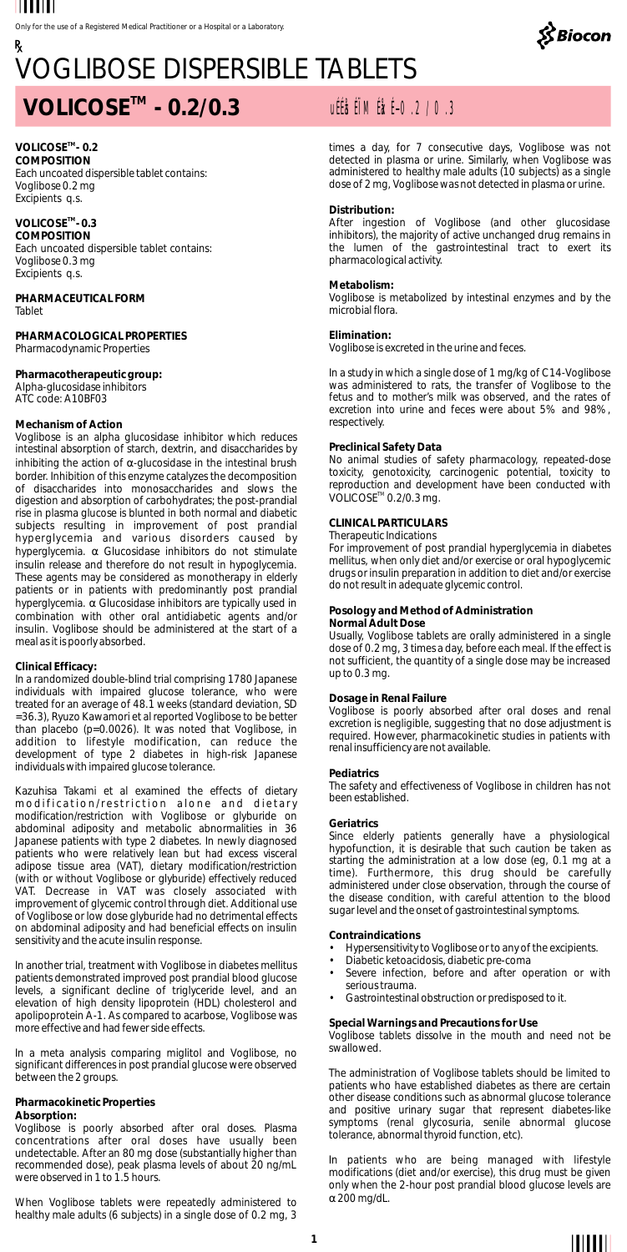

# VOGLIBOSE DISPERSIBLE TABLETS

## **TM VOLICOSE - 0.2/0.3** uÉÉåsÉÏM ÉåxÉ-0.2/0.3

#### **TM VOLICOSE - 0.2 COMPOSITION** Each uncoated dispersible tablet contains: Voglibose 0.2 mg Excipients q.s.

**TM VOLICOSE - 0.3 COMPOSITION** Each uncoated dispersible tablet contains: Voglibose 0.3 mg Excipients q.s.

**PHARMACEUTICAL FORM** Tablet

**PHARMACOLOGICAL PROPERTIES** Pharmacodynamic Properties

**Pharmacotherapeutic group:**  Alpha-glucosidase inhibitors ATC code: A10BF03

#### **Mechanism of Action**

Voglibose is an alpha glucosidase inhibitor which reduces intestinal absorption of starch, dextrin, and disaccharides by inhibiting the action of α-glucosidase in the intestinal brush border. Inhibition of this enzyme catalyzes the decomposition of disaccharides into monosaccharides and slows the digestion and absorption of carbohydrates; the post-prandial rise in plasma glucose is blunted in both normal and diabetic subjects resulting in improvement of post prandial hyperglycemia and various disorders caused by hyperglycemia. αGlucosidase inhibitors do not stimulate insulin release and therefore do not result in hypoglycemia. These agents may be considered as monotherapy in elderly patients or in patients with predominantly post prandial hyperglycemia. α Glucosidase inhibitors are typically used in combination with other oral antidiabetic agents and/or insulin. Voglibose should be administered at the start of a meal as it is poorly absorbed.

#### **Clinical Efficacy:**

In a randomized double-blind trial comprising 1780 Japanese individuals with impaired glucose tolerance, who were treated for an average of 48.1 weeks (standard deviation, SD =36.3), Ryuzo Kawamori et al reported Voglibose to be better than placebo (p=0.0026). It was noted that Voglibose, in addition to lifestyle modification, can reduce the development of type 2 diabetes in high-risk Japanese individuals with impaired glucose tolerance.

Kazuhisa Takami et al examined the effects of dietary m o dification/restriction alone and dietary<br>modification/restriction with Voglibose or glyburide on abdominal adiposity and metabolic abnormalities in 36 Japanese patients with type 2 diabetes. In newly diagnosed patients who were relatively lean but had excess visceral adipose tissue area (VAT), dietary modification/restriction (with or without Voglibose or glyburide) effectively reduced VAT. Decrease in VAT was closely associated with improvement of glycemic control through diet. Additional use of Voglibose or low dose glyburide had no detrimental effects on abdominal adiposity and had beneficial effects on insulin sensitivity and the acute insulin response.

In another trial, treatment with Voglibose in diabetes mellitus patients demonstrated improved post prandial blood glucose levels, a significant decline of triglyceride level, and an elevation of high density lipoprotein (HDL) cholesterol and apolipoprotein A-1. As compared to acarbose, Voglibose was more effective and had fewer side effects.

In a meta analysis comparing miglitol and Voglibose, no significant differences in post prandial glucose were observed between the 2 groups.

#### **Pharmacokinetic Properties**

#### **Absorption:**

Voglibose is poorly absorbed after oral doses. Plasma concentrations after oral doses have usually been undetectable. After an 80 mg dose (substantially higher than recommended dose), peak plasma levels of about 20 ng/mL were observed in 1 to 1.5 hours.

When Voglibose tablets were repeatedly administered to healthy male adults (6 subjects) in a single dose of 0.2 mg, 3

times a day, for 7 consecutive days, Voglibose was not detected in plasma or urine. Similarly, when Voglibose was administered to healthy male adults (10 subjects) as a single dose of 2 mg, Voglibose was not detected in plasma or urine.

#### **Distribution:**

After ingestion of Voglibose (and other glucosidase inhibitors), the majority of active unchanged drug remains in the lumen of the gastrointestinal tract to exert its pharmacological activity.

**Metabolism:** Voglibose is metabolized by intestinal enzymes and by the microbial flora.

#### **Elimination:**

Voglibose is excreted in the urine and feces.

In a study in which a single dose of 1 mg/kg of C14-Voglibose was administered to rats, the transfer of Voglibose to the fetus and to mother's milk was observed, and the rates of excretion into urine and feces were about 5% and 98%, respectively.

### **Preclinical Safety Data**

No animal studies of safety pharmacology, repeated-dose toxicity, genotoxicity, carcinogenic potential, toxicity to reproduction and development have been conducted with  $VOLICOSE<sup>TM</sup> 0.2/0.3$  mg.

### **CLINICAL PARTICULARS**

Therapeutic Indications

For improvement of post prandial hyperglycemia in diabetes mellitus, when only diet and/or exercise or oral hypoglycemic drugs or insulin preparation in addition to diet and/or exercise do not result in adequate glycemic control.

#### **Posology and Method of Administration**

**Normal Adult Dose**

Usually, Voglibose tablets are orally administered in a single dose of 0.2 mg, 3 times a day, before each meal. If the effect is not sufficient, the quantity of a single dose may be increased up to 0.3 mg.

#### **Dosage in Renal Failure**

Voglibose is poorly absorbed after oral doses and renal excretion is negligible, suggesting that no dose adjustment is required. However, pharmacokinetic studies in patients with renal insufficiency are not available.

#### **Pediatrics**

The safety and effectiveness of Voglibose in children has not been established.

#### **Geriatrics**

Since elderly patients generally have a physiological hypofunction, it is desirable that such caution be taken as starting the administration at a low dose (eg, 0.1 mg at a time). Furthermore, this drug should be carefully administered under close observation, through the course of the disease condition, with careful attention to the blood sugar level and the onset of gastrointestinal symptoms.

#### **Contraindications**

- 
- Hypersensitivity to Voglibose or to any of the excipients. Diabetic ketoacidosis, diabetic pre-coma
- Severe infection, before and after operation or with serious trauma.
- Gastrointestinal obstruction or predisposed to it.

**Special Warnings and Precautions for Use** Voglibose tablets dissolve in the mouth and need not be swallowed.

The administration of Voglibose tablets should be limited to patients who have established diabetes as there are certain other disease conditions such as abnormal glucose tolerance and positive urinary sugar that represent diabetes-like symptoms (renal glycosuria, senile abnormal glucose tolerance, abnormal thyroid function, etc).

In patients who are being managed with lifestyle modifications (diet and/or exercise), this drug must be given only when the 2-hour post prandial blood glucose levels are  $α\,200\,\mathrm{mg/d}$ .  $\alpha$  200 mg/dL.